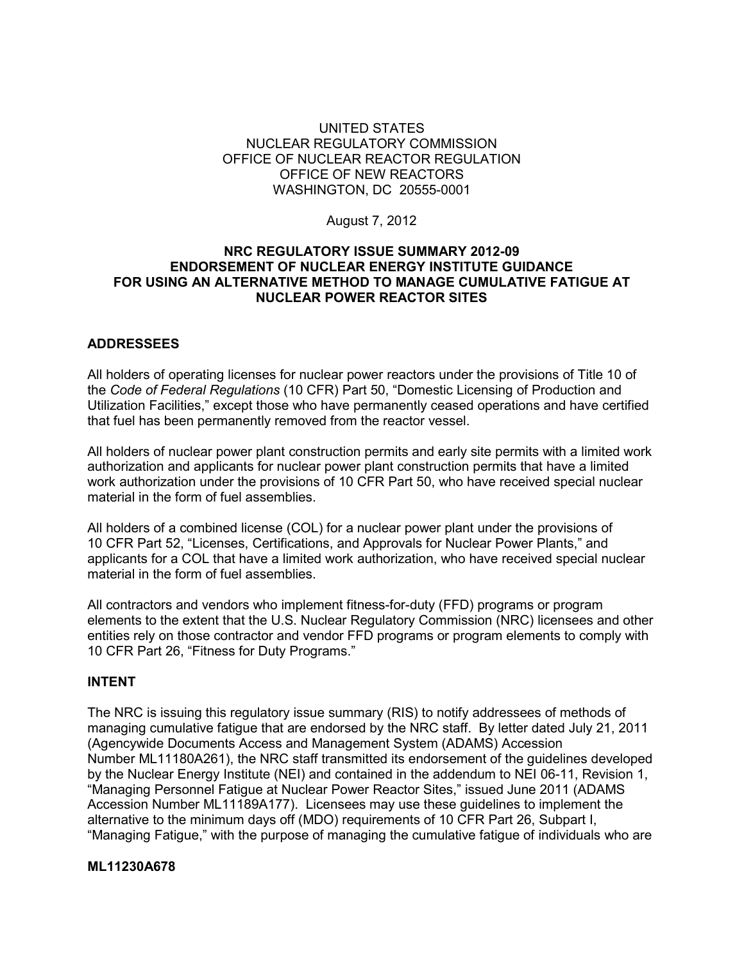#### UNITED STATES NUCLEAR REGULATORY COMMISSION OFFICE OF NUCLEAR REACTOR REGULATION OFFICE OF NEW REACTORS WASHINGTON, DC 20555-0001

August 7, 2012

#### **NRC REGULATORY ISSUE SUMMARY 2012-09 ENDORSEMENT OF NUCLEAR ENERGY INSTITUTE GUIDANCE FOR USING AN ALTERNATIVE METHOD TO MANAGE CUMULATIVE FATIGUE AT NUCLEAR POWER REACTOR SITES**

## **ADDRESSEES**

All holders of operating licenses for nuclear power reactors under the provisions of Title 10 of the *Code of Federal Regulations* (10 CFR) Part 50, "Domestic Licensing of Production and Utilization Facilities," except those who have permanently ceased operations and have certified that fuel has been permanently removed from the reactor vessel.

All holders of nuclear power plant construction permits and early site permits with a limited work authorization and applicants for nuclear power plant construction permits that have a limited work authorization under the provisions of 10 CFR Part 50, who have received special nuclear material in the form of fuel assemblies.

All holders of a combined license (COL) for a nuclear power plant under the provisions of 10 CFR Part 52, "Licenses, Certifications, and Approvals for Nuclear Power Plants," and applicants for a COL that have a limited work authorization, who have received special nuclear material in the form of fuel assemblies.

All contractors and vendors who implement fitness-for-duty (FFD) programs or program elements to the extent that the U.S. Nuclear Regulatory Commission (NRC) licensees and other entities rely on those contractor and vendor FFD programs or program elements to comply with 10 CFR Part 26, "Fitness for Duty Programs."

## **INTENT**

The NRC is issuing this regulatory issue summary (RIS) to notify addressees of methods of managing cumulative fatigue that are endorsed by the NRC staff. By letter dated July 21, 2011 (Agencywide Documents Access and Management System (ADAMS) Accession Number ML11180A261), the NRC staff transmitted its endorsement of the guidelines developed by the Nuclear Energy Institute (NEI) and contained in the addendum to NEI 06-11, Revision 1, "Managing Personnel Fatigue at Nuclear Power Reactor Sites," issued June 2011 (ADAMS Accession Number ML11189A177). Licensees may use these guidelines to implement the alternative to the minimum days off (MDO) requirements of 10 CFR Part 26, Subpart I, "Managing Fatigue," with the purpose of managing the cumulative fatigue of individuals who are

#### **ML11230A678**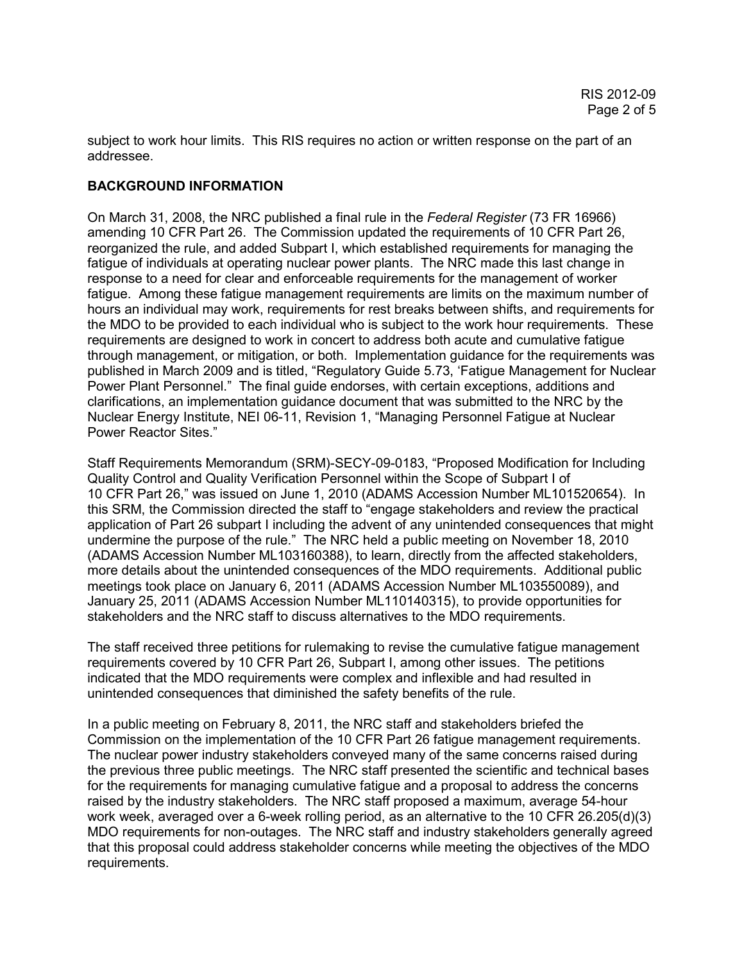subject to work hour limits. This RIS requires no action or written response on the part of an addressee.

# **BACKGROUND INFORMATION**

On March 31, 2008, the NRC published a final rule in the *Federal Register* (73 FR 16966) amending 10 CFR Part 26. The Commission updated the requirements of 10 CFR Part 26, reorganized the rule, and added Subpart I, which established requirements for managing the fatigue of individuals at operating nuclear power plants. The NRC made this last change in response to a need for clear and enforceable requirements for the management of worker fatigue. Among these fatigue management requirements are limits on the maximum number of hours an individual may work, requirements for rest breaks between shifts, and requirements for the MDO to be provided to each individual who is subject to the work hour requirements. These requirements are designed to work in concert to address both acute and cumulative fatigue through management, or mitigation, or both. Implementation guidance for the requirements was published in March 2009 and is titled, "Regulatory Guide 5.73, 'Fatigue Management for Nuclear Power Plant Personnel." The final guide endorses, with certain exceptions, additions and clarifications, an implementation guidance document that was submitted to the NRC by the Nuclear Energy Institute, NEI 06-11, Revision 1, "Managing Personnel Fatigue at Nuclear Power Reactor Sites."

Staff Requirements Memorandum (SRM)-SECY-09-0183, "Proposed Modification for Including Quality Control and Quality Verification Personnel within the Scope of Subpart I of 10 CFR Part 26," was issued on June 1, 2010 (ADAMS Accession Number ML101520654). In this SRM, the Commission directed the staff to "engage stakeholders and review the practical application of Part 26 subpart I including the advent of any unintended consequences that might undermine the purpose of the rule." The NRC held a public meeting on November 18, 2010 (ADAMS Accession Number ML103160388), to learn, directly from the affected stakeholders, more details about the unintended consequences of the MDO requirements. Additional public meetings took place on January 6, 2011 (ADAMS Accession Number ML103550089), and January 25, 2011 (ADAMS Accession Number ML110140315), to provide opportunities for stakeholders and the NRC staff to discuss alternatives to the MDO requirements.

The staff received three petitions for rulemaking to revise the cumulative fatigue management requirements covered by 10 CFR Part 26, Subpart I, among other issues. The petitions indicated that the MDO requirements were complex and inflexible and had resulted in unintended consequences that diminished the safety benefits of the rule.

In a public meeting on February 8, 2011, the NRC staff and stakeholders briefed the Commission on the implementation of the 10 CFR Part 26 fatigue management requirements. The nuclear power industry stakeholders conveyed many of the same concerns raised during the previous three public meetings. The NRC staff presented the scientific and technical bases for the requirements for managing cumulative fatigue and a proposal to address the concerns raised by the industry stakeholders. The NRC staff proposed a maximum, average 54-hour work week, averaged over a 6-week rolling period, as an alternative to the 10 CFR 26.205(d)(3) MDO requirements for non-outages. The NRC staff and industry stakeholders generally agreed that this proposal could address stakeholder concerns while meeting the objectives of the MDO requirements.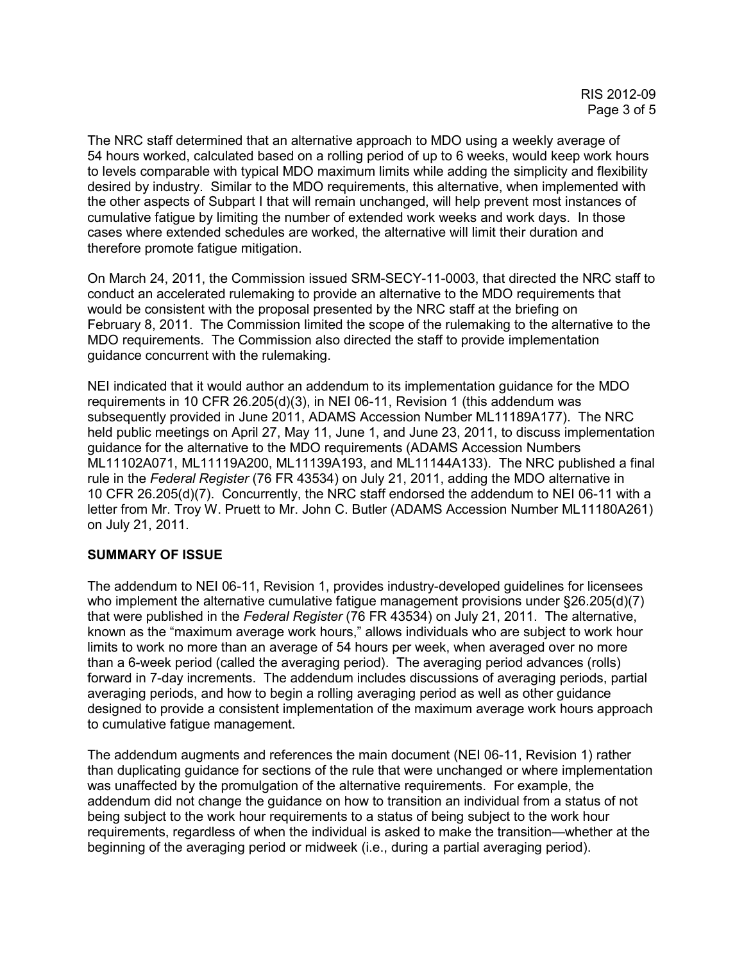The NRC staff determined that an alternative approach to MDO using a weekly average of 54 hours worked, calculated based on a rolling period of up to 6 weeks, would keep work hours to levels comparable with typical MDO maximum limits while adding the simplicity and flexibility desired by industry. Similar to the MDO requirements, this alternative, when implemented with the other aspects of Subpart I that will remain unchanged, will help prevent most instances of cumulative fatigue by limiting the number of extended work weeks and work days. In those cases where extended schedules are worked, the alternative will limit their duration and therefore promote fatigue mitigation.

On March 24, 2011, the Commission issued SRM-SECY-11-0003, that directed the NRC staff to conduct an accelerated rulemaking to provide an alternative to the MDO requirements that would be consistent with the proposal presented by the NRC staff at the briefing on February 8, 2011. The Commission limited the scope of the rulemaking to the alternative to the MDO requirements. The Commission also directed the staff to provide implementation guidance concurrent with the rulemaking.

NEI indicated that it would author an addendum to its implementation guidance for the MDO requirements in 10 CFR 26.205(d)(3), in NEI 06-11, Revision 1 (this addendum was subsequently provided in June 2011, ADAMS Accession Number ML11189A177). The NRC held public meetings on April 27, May 11, June 1, and June 23, 2011, to discuss implementation guidance for the alternative to the MDO requirements (ADAMS Accession Numbers ML11102A071, ML11119A200, ML11139A193, and ML11144A133). The NRC published a final rule in the *Federal Register* (76 FR 43534) on July 21, 2011, adding the MDO alternative in 10 CFR 26.205(d)(7). Concurrently, the NRC staff endorsed the addendum to NEI 06-11 with a letter from Mr. Troy W. Pruett to Mr. John C. Butler (ADAMS Accession Number ML11180A261) on July 21, 2011.

## **SUMMARY OF ISSUE**

The addendum to NEI 06-11, Revision 1, provides industry-developed guidelines for licensees who implement the alternative cumulative fatigue management provisions under §26.205(d)(7) that were published in the *Federal Register* (76 FR 43534) on July 21, 2011. The alternative, known as the "maximum average work hours," allows individuals who are subject to work hour limits to work no more than an average of 54 hours per week, when averaged over no more than a 6-week period (called the averaging period). The averaging period advances (rolls) forward in 7-day increments. The addendum includes discussions of averaging periods, partial averaging periods, and how to begin a rolling averaging period as well as other guidance designed to provide a consistent implementation of the maximum average work hours approach to cumulative fatigue management.

The addendum augments and references the main document (NEI 06-11, Revision 1) rather than duplicating guidance for sections of the rule that were unchanged or where implementation was unaffected by the promulgation of the alternative requirements. For example, the addendum did not change the guidance on how to transition an individual from a status of not being subject to the work hour requirements to a status of being subject to the work hour requirements, regardless of when the individual is asked to make the transition—whether at the beginning of the averaging period or midweek (i.e., during a partial averaging period).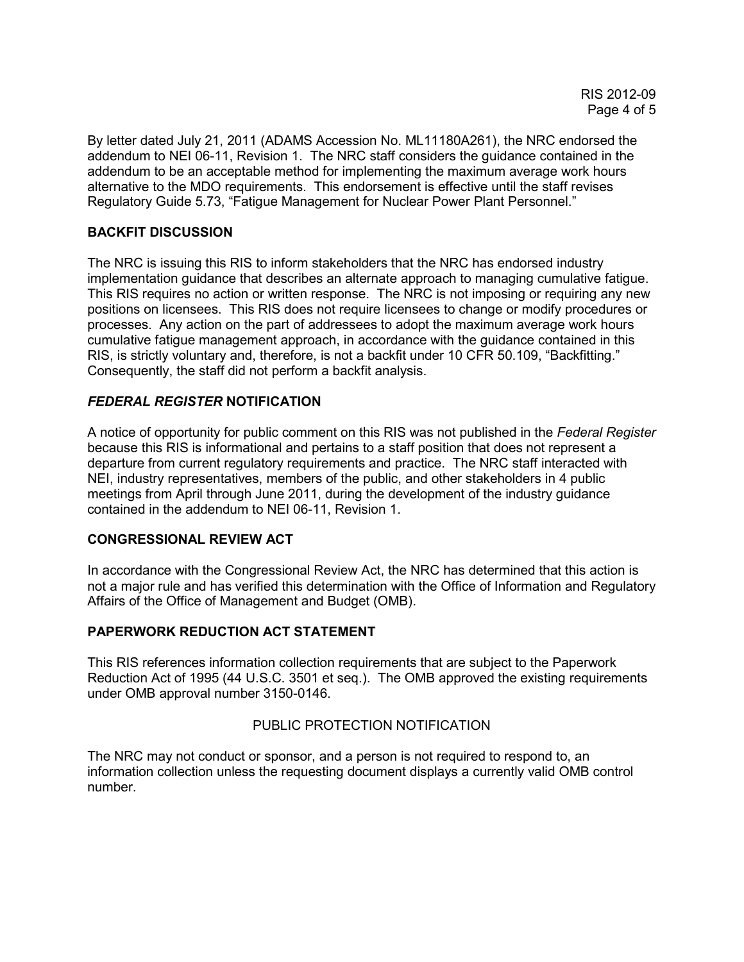By letter dated July 21, 2011 (ADAMS Accession No. ML11180A261), the NRC endorsed the addendum to NEI 06-11, Revision 1. The NRC staff considers the guidance contained in the addendum to be an acceptable method for implementing the maximum average work hours alternative to the MDO requirements. This endorsement is effective until the staff revises Regulatory Guide 5.73, "Fatigue Management for Nuclear Power Plant Personnel."

# **BACKFIT DISCUSSION**

The NRC is issuing this RIS to inform stakeholders that the NRC has endorsed industry implementation guidance that describes an alternate approach to managing cumulative fatigue. This RIS requires no action or written response. The NRC is not imposing or requiring any new positions on licensees. This RIS does not require licensees to change or modify procedures or processes. Any action on the part of addressees to adopt the maximum average work hours cumulative fatigue management approach, in accordance with the guidance contained in this RIS, is strictly voluntary and, therefore, is not a backfit under 10 CFR 50.109, "Backfitting." Consequently, the staff did not perform a backfit analysis.

## *FEDERAL REGISTER* **NOTIFICATION**

A notice of opportunity for public comment on this RIS was not published in the *Federal Register* because this RIS is informational and pertains to a staff position that does not represent a departure from current regulatory requirements and practice. The NRC staff interacted with NEI, industry representatives, members of the public, and other stakeholders in 4 public meetings from April through June 2011, during the development of the industry guidance contained in the addendum to NEI 06-11, Revision 1.

## **CONGRESSIONAL REVIEW ACT**

In accordance with the Congressional Review Act, the NRC has determined that this action is not a major rule and has verified this determination with the Office of Information and Regulatory Affairs of the Office of Management and Budget (OMB).

## **PAPERWORK REDUCTION ACT STATEMENT**

This RIS references information collection requirements that are subject to the Paperwork Reduction Act of 1995 (44 U.S.C. 3501 et seq.). The OMB approved the existing requirements under OMB approval number 3150-0146.

## PUBLIC PROTECTION NOTIFICATION

The NRC may not conduct or sponsor, and a person is not required to respond to, an information collection unless the requesting document displays a currently valid OMB control number.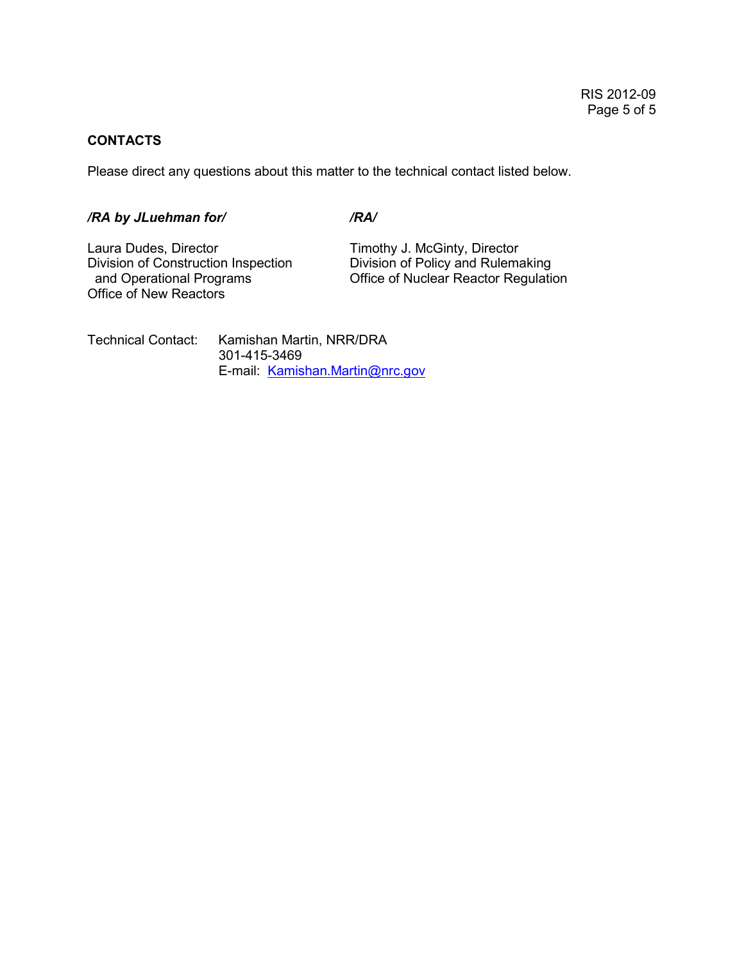#### **CONTACTS**

Please direct any questions about this matter to the technical contact listed below.

# */RA by JLuehman for/ /RA/*

Laura Dudes, Director **Timothy J. McGinty, Director**<br>Division of Construction Inspection **The Division of Policy and Rulema** Division of Construction Inspection<br>
and Operational Programs
Division of Policy and Rulemaking
and Operational Programs
Office of Nuclear Reactor Regulation Office of New Reactors

Office of Nuclear Reactor Regulation

Technical Contact: Kamishan Martin, NRR/DRA 301-415-3469 E-mail: Kamishan.Martin@nrc.gov